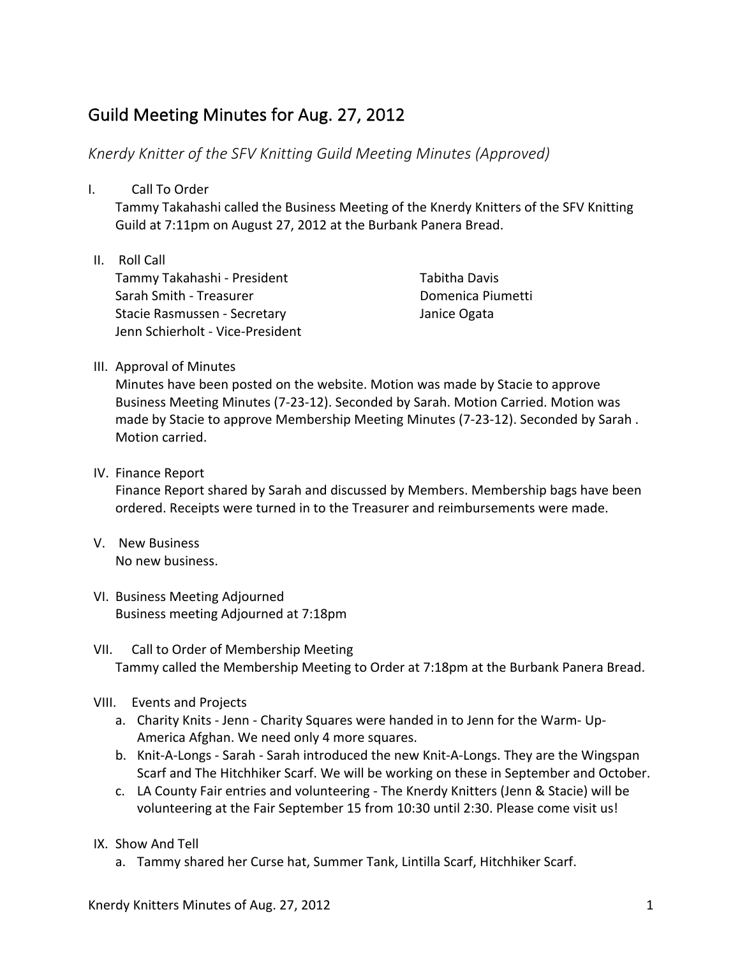## Guild Meeting Minutes for Aug. 27, 2012

## *Knerdy Knitter of the SFV Knitting Guild Meeting Minutes (Approved)*

I. Call To Order

Tammy Takahashi called the Business Meeting of the Knerdy Knitters of the SFV Knitting Guild at 7:11pm on August 27, 2012 at the Burbank Panera Bread.

II. Roll Call Tammy Takahashi - President Sarah Smith - Treasurer Stacie Rasmussen - Secretary Jenn Schierholt - Vice-President

Tabitha Davis Domenica Piumetti Janice Ogata

## III. Approval of Minutes

Minutes have been posted on the website. Motion was made by Stacie to approve Business Meeting Minutes (7-23-12). Seconded by Sarah. Motion Carried. Motion was made by Stacie to approve Membership Meeting Minutes (7-23-12). Seconded by Sarah. Motion carried.

## IV. Finance Report

Finance Report shared by Sarah and discussed by Members. Membership bags have been ordered. Receipts were turned in to the Treasurer and reimbursements were made.

- V. New Business No new business.
- VI. Business Meeting Adjourned Business meeting Adjourned at 7:18pm
- VII. Call to Order of Membership Meeting Tammy called the Membership Meeting to Order at 7:18pm at the Burbank Panera Bread.
- VIII. Events and Projects
	- a. Charity Knits Jenn Charity Squares were handed in to Jenn for the Warm- Up-America Afghan. We need only 4 more squares.
	- b. Knit-A-Longs Sarah Sarah introduced the new Knit-A-Longs. They are the Wingspan Scarf and The Hitchhiker Scarf. We will be working on these in September and October.
	- c. LA County Fair entries and volunteering The Knerdy Knitters (Jenn & Stacie) will be volunteering at the Fair September 15 from 10:30 until 2:30. Please come visit us!
- IX. Show And Tell
	- a. Tammy shared her Curse hat, Summer Tank, Lintilla Scarf, Hitchhiker Scarf.